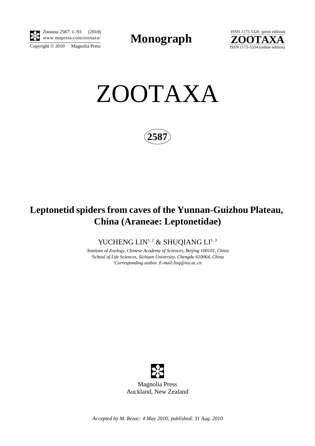

Copyright  $\odot$  2010 · Magnolia Press *Zootaxa* 2587: 1–93 (2010)

**Monograph** 





**2587**

# **Leptonetid spiders from caves of the Yunnan-Guizhou Plateau, China (Araneae: Leptonetidae)**

YUCHENG LIN<sup>1,2</sup> & SHUQIANG LI<sup>1,3</sup>

*1 Institute of Zoology, Chinese Academy of Sciences, Beijing 100101, China 2 School of Life Sciences, Sichuan University, Chengdu 610064, China 3 Corresponding author. E-mail:lisq@ioz.ac.cn*



Magnolia Press Auckland, New Zealand

*Accepted by M. Rezac: 4 May 2010; published: 31 Aug. 2010*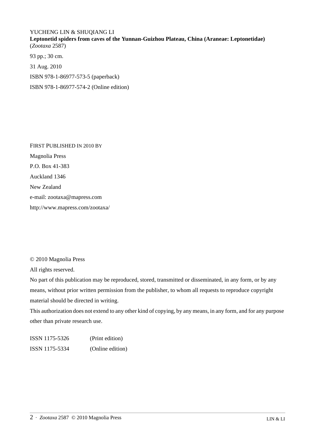## YUCHENG LIN & SHUQIANG LI

**Leptonetid spiders from caves of the Yunnan-Guizhou Plateau, China (Araneae: Leptonetidae)** (*Zootaxa* 2587) 93 pp.; 30 cm.

31 Aug. 2010 ISBN 978-1-86977-573-5 (paperback)

ISBN 978-1-86977-574-2 (Online edition)

FIRST PUBLISHED IN 2010 BY Magnolia Press P.O. Box 41-383 Auckland 1346 New Zealand e-mail: zootaxa@mapress.com http://www.mapress.com/zootaxa/

### © 2010 Magnolia Press

All rights reserved.

No part of this publication may be reproduced, stored, transmitted or disseminated, in any form, or by any means, without prior written permission from the publisher, to whom all requests to reproduce copyright material should be directed in writing.

This authorization does not extend to any other kind of copying, by any means, in any form, and for any purpose other than private research use.

ISSN 1175-5326 (Print edition) ISSN 1175-5334 (Online edition)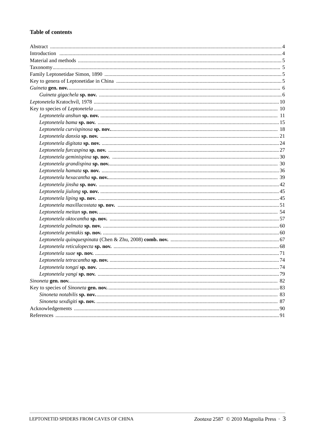#### **Table of contents**